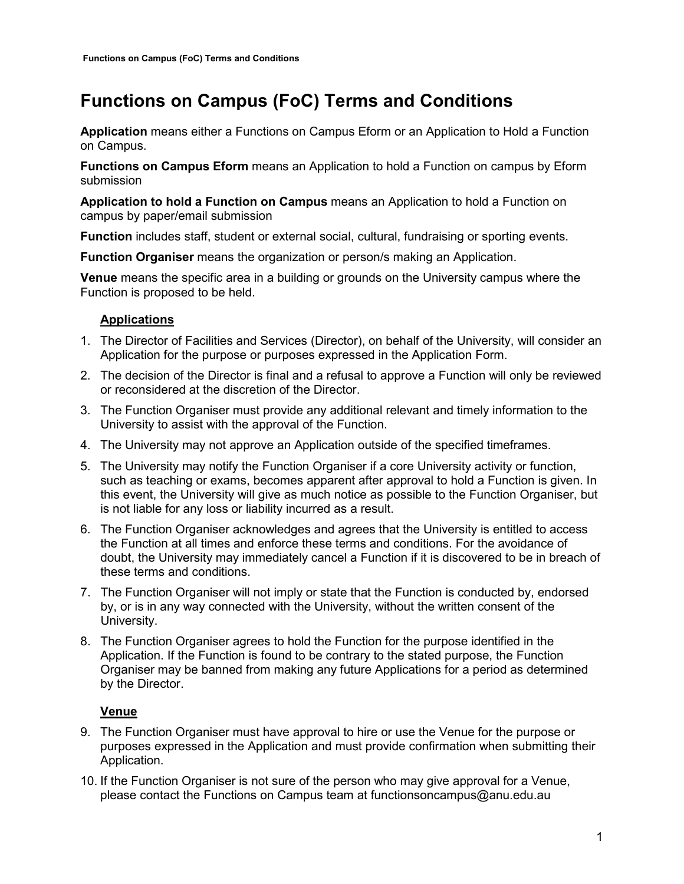# **Functions on Campus (FoC) Terms and Conditions**

**Application** means either a Functions on Campus Eform or an Application to Hold a Function on Campus.

**Functions on Campus Eform** means an Application to hold a Function on campus by Eform submission

**Application to hold a Function on Campus** means an Application to hold a Function on campus by paper/email submission

**Function** includes staff, student or external social, cultural, fundraising or sporting events.

**Function Organiser** means the organization or person/s making an Application.

**Venue** means the specific area in a building or grounds on the University campus where the Function is proposed to be held.

# **Applications**

- 1. The Director of Facilities and Services (Director), on behalf of the University, will consider an Application for the purpose or purposes expressed in the Application Form.
- 2. The decision of the Director is final and a refusal to approve a Function will only be reviewed or reconsidered at the discretion of the Director.
- 3. The Function Organiser must provide any additional relevant and timely information to the University to assist with the approval of the Function.
- 4. The University may not approve an Application outside of the specified timeframes.
- 5. The University may notify the Function Organiser if a core University activity or function, such as teaching or exams, becomes apparent after approval to hold a Function is given. In this event, the University will give as much notice as possible to the Function Organiser, but is not liable for any loss or liability incurred as a result.
- 6. The Function Organiser acknowledges and agrees that the University is entitled to access the Function at all times and enforce these terms and conditions. For the avoidance of doubt, the University may immediately cancel a Function if it is discovered to be in breach of these terms and conditions.
- 7. The Function Organiser will not imply or state that the Function is conducted by, endorsed by, or is in any way connected with the University, without the written consent of the University.
- 8. The Function Organiser agrees to hold the Function for the purpose identified in the Application. If the Function is found to be contrary to the stated purpose, the Function Organiser may be banned from making any future Applications for a period as determined by the Director.

# **Venue**

- 9. The Function Organiser must have approval to hire or use the Venue for the purpose or purposes expressed in the Application and must provide confirmation when submitting their Application.
- 10. If the Function Organiser is not sure of the person who may give approval for a Venue, please contact the Functions on Campus team at functionsoncampus@anu.edu.au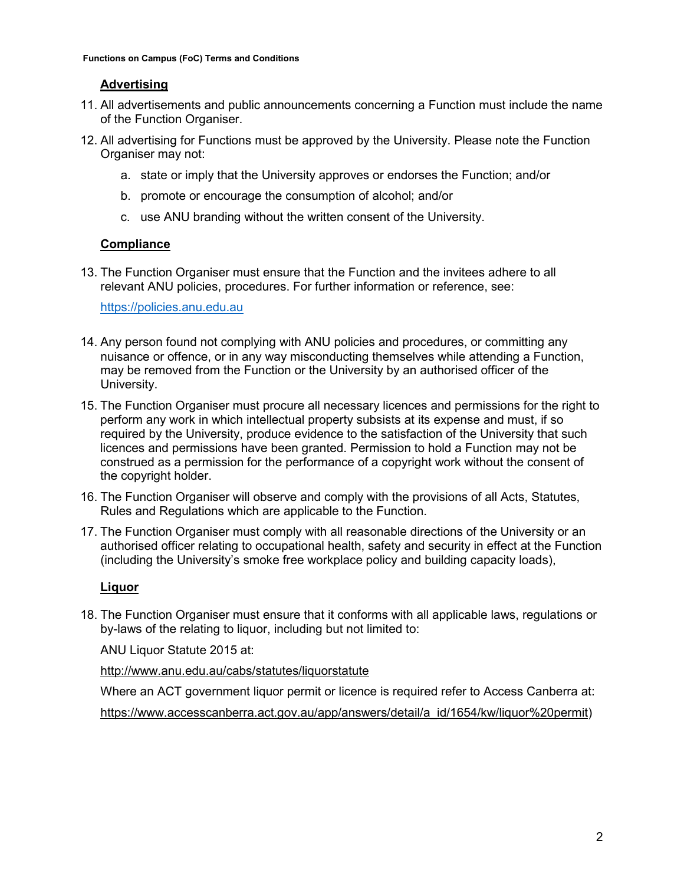# **Advertising**

- 11. All advertisements and public announcements concerning a Function must include the name of the Function Organiser.
- 12. All advertising for Functions must be approved by the University. Please note the Function Organiser may not:
	- a. state or imply that the University approves or endorses the Function; and/or
	- b. promote or encourage the consumption of alcohol; and/or
	- c. use ANU branding without the written consent of the University.

#### **Compliance**

13. The Function Organiser must ensure that the Function and the invitees adhere to all relevant ANU policies, procedures. For further information or reference, see:

[https://policies.anu.edu.au](https://policies.anu.edu.au/)

- 14. Any person found not complying with ANU policies and procedures, or committing any nuisance or offence, or in any way misconducting themselves while attending a Function, may be removed from the Function or the University by an authorised officer of the University.
- 15. The Function Organiser must procure all necessary licences and permissions for the right to perform any work in which intellectual property subsists at its expense and must, if so required by the University, produce evidence to the satisfaction of the University that such licences and permissions have been granted. Permission to hold a Function may not be construed as a permission for the performance of a copyright work without the consent of the copyright holder.
- 16. The Function Organiser will observe and comply with the provisions of all Acts, Statutes, Rules and Regulations which are applicable to the Function.
- 17. The Function Organiser must comply with all reasonable directions of the University or an authorised officer relating to occupational health, safety and security in effect at the Function (including the University's smoke free workplace policy and building capacity loads),

# **Liquor**

18. The Function Organiser must ensure that it conforms with all applicable laws, regulations or by-laws of the relating to liquor, including but not limited to:

ANU Liquor Statute 2015 at:

<http://www.anu.edu.au/cabs/statutes/liquorstatute>

Where an ACT government liquor permit or licence is required refer to Access Canberra at:

[https://www.accesscanberra.act.gov.au/app/answers/detail/a\\_id/1654/kw/liquor%20permit\)](https://www.accesscanberra.act.gov.au/app/answers/detail/a_id/1654/kw/liquor%20permit)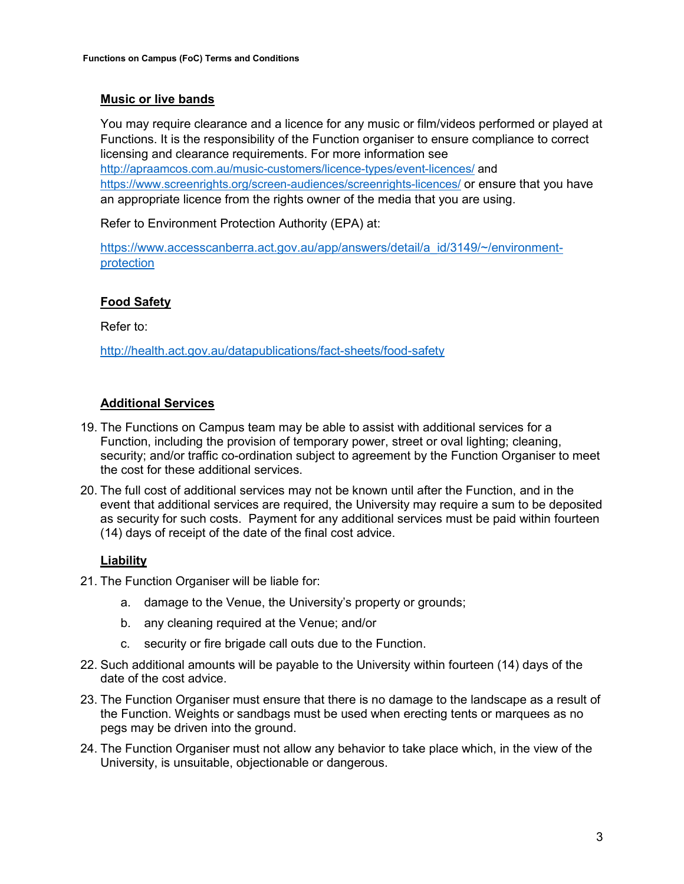### **Music or live bands**

You may require clearance and a licence for any music or film/videos performed or played at Functions. It is the responsibility of the Function organiser to ensure compliance to correct licensing and clearance requirements. For more information see <http://apraamcos.com.au/music-customers/licence-types/event-licences/> and <https://www.screenrights.org/screen-audiences/screenrights-licences/> or ensure that you have an appropriate licence from the rights owner of the media that you are using.

Refer to Environment Protection Authority (EPA) at:

[https://www.accesscanberra.act.gov.au/app/answers/detail/a\\_id/3149/~/environment](https://www.accesscanberra.act.gov.au/app/answers/detail/a_id/3149/%7E/environment-protection)[protection](https://www.accesscanberra.act.gov.au/app/answers/detail/a_id/3149/%7E/environment-protection)

# **Food Safety**

Refer to:

<http://health.act.gov.au/datapublications/fact-sheets/food-safety>

#### **Additional Services**

- 19. The Functions on Campus team may be able to assist with additional services for a Function, including the provision of temporary power, street or oval lighting; cleaning, security; and/or traffic co-ordination subject to agreement by the Function Organiser to meet the cost for these additional services.
- 20. The full cost of additional services may not be known until after the Function, and in the event that additional services are required, the University may require a sum to be deposited as security for such costs. Payment for any additional services must be paid within fourteen (14) days of receipt of the date of the final cost advice.

# **Liability**

- 21. The Function Organiser will be liable for:
	- a. damage to the Venue, the University's property or grounds;
	- b. any cleaning required at the Venue; and/or
	- c. security or fire brigade call outs due to the Function.
- 22. Such additional amounts will be payable to the University within fourteen (14) days of the date of the cost advice.
- 23. The Function Organiser must ensure that there is no damage to the landscape as a result of the Function. Weights or sandbags must be used when erecting tents or marquees as no pegs may be driven into the ground.
- 24. The Function Organiser must not allow any behavior to take place which, in the view of the University, is unsuitable, objectionable or dangerous.